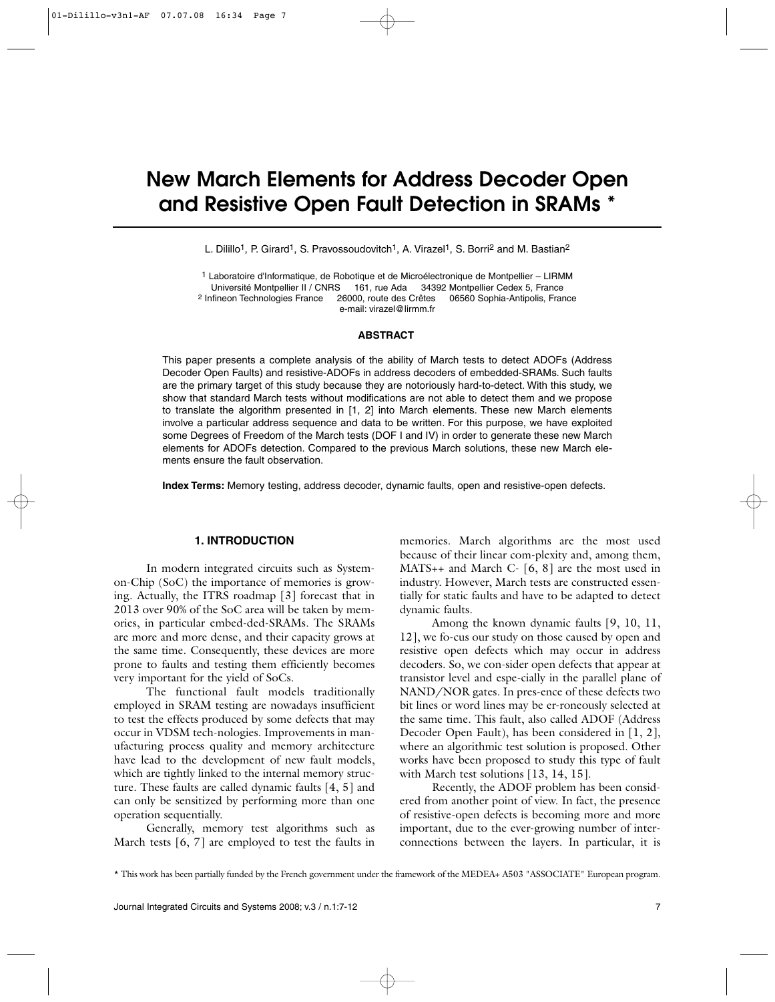# **New March Elements for Address Decoder Open and Resistive Open Fault Detection in SRAMs \***

L. Dilillo<sup>1</sup>, P. Girard<sup>1</sup>, S. Pravossoudovitch<sup>1</sup>, A. Virazel<sup>1</sup>, S. Borri<sup>2</sup> and M. Bastian<sup>2</sup>

1 Laboratoire d'Informatique, de Robotique et de Microélectronique de Montpellier – LIRMM Université Montpellier II / CNRS 161, rue Ada 34392 Montpellier Cedex 5, France 2 Infineon Technologies France 26000, route des Crêtes 06560 Sophia-Antipolis, France 26000, route des Crêtes 06560 Sophia-Antipolis, France e-mail: virazel@lirmm.fr

#### **ABSTRACT**

This paper presents a complete analysis of the ability of March tests to detect ADOFs (Address Decoder Open Faults) and resistive-ADOFs in address decoders of embedded-SRAMs. Such faults are the primary target of this study because they are notoriously hard-to-detect. With this study, we show that standard March tests without modifications are not able to detect them and we propose to translate the algorithm presented in [1, 2] into March elements. These new March elements involve a particular address sequence and data to be written. For this purpose, we have exploited some Degrees of Freedom of the March tests (DOF I and IV) in order to generate these new March elements for ADOFs detection. Compared to the previous March solutions, these new March elements ensure the fault observation.

**Index Terms:** Memory testing, address decoder, dynamic faults, open and resistive-open defects.

#### **1. INTRODUCTION**

In modern integrated circuits such as Systemon-Chip (SoC) the importance of memories is growing. Actually, the ITRS roadmap [3] forecast that in 2013 over 90% of the SoC area will be taken by memories, in particular embed-ded-SRAMs. The SRAMs are more and more dense, and their capacity grows at the same time. Consequently, these devices are more prone to faults and testing them efficiently becomes very important for the yield of SoCs.

The functional fault models traditionally employed in SRAM testing are nowadays insufficient to test the effects produced by some defects that may occur in VDSM tech-nologies. Improvements in manufacturing process quality and memory architecture have lead to the development of new fault models, which are tightly linked to the internal memory structure. These faults are called dynamic faults [4, 5] and can only be sensitized by performing more than one operation sequentially.

Generally, memory test algorithms such as March tests [6, 7] are employed to test the faults in

memories. March algorithms are the most used because of their linear com-plexity and, among them, MATS++ and March C- [6, 8] are the most used in industry. However, March tests are constructed essentially for static faults and have to be adapted to detect dynamic faults.

Among the known dynamic faults [9, 10, 11, 12], we fo-cus our study on those caused by open and resistive open defects which may occur in address decoders. So, we con-sider open defects that appear at transistor level and espe-cially in the parallel plane of NAND/NOR gates. In pres-ence of these defects two bit lines or word lines may be er-roneously selected at the same time. This fault, also called ADOF (Address Decoder Open Fault), has been considered in [1, 2], where an algorithmic test solution is proposed. Other works have been proposed to study this type of fault with March test solutions [13, 14, 15].

Recently, the ADOF problem has been considered from another point of view. In fact, the presence of resistive-open defects is becoming more and more important, due to the ever-growing number of interconnections between the layers. In particular, it is

<sup>\*</sup> This work has been partially funded by the French government under the framework of the MEDEA+ A503 "ASSOCIATE" European program.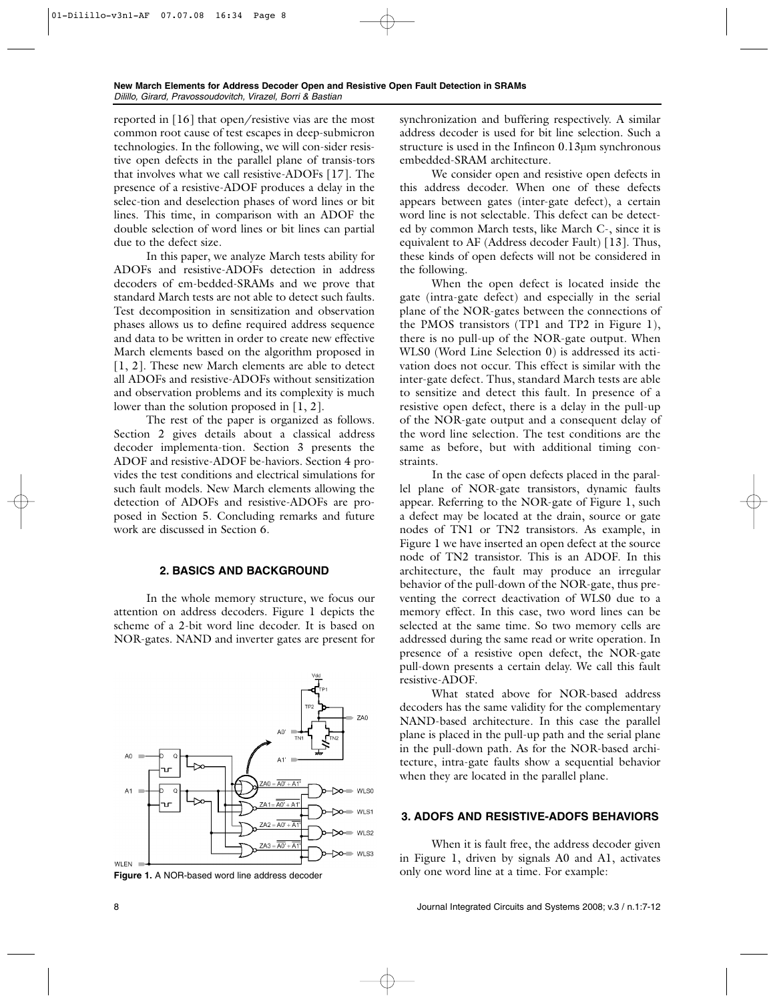reported in [16] that open/resistive vias are the most common root cause of test escapes in deep-submicron technologies. In the following, we will con-sider resistive open defects in the parallel plane of transis-tors that involves what we call resistive-ADOFs [17]. The presence of a resistive-ADOF produces a delay in the selec-tion and deselection phases of word lines or bit lines. This time, in comparison with an ADOF the double selection of word lines or bit lines can partial due to the defect size.

In this paper, we analyze March tests ability for ADOFs and resistive-ADOFs detection in address decoders of em-bedded-SRAMs and we prove that standard March tests are not able to detect such faults. Test decomposition in sensitization and observation phases allows us to define required address sequence and data to be written in order to create new effective March elements based on the algorithm proposed in [1, 2]. These new March elements are able to detect all ADOFs and resistive-ADOFs without sensitization and observation problems and its complexity is much lower than the solution proposed in [1, 2].

The rest of the paper is organized as follows. Section 2 gives details about a classical address decoder implementa-tion. Section 3 presents the ADOF and resistive-ADOF be-haviors. Section 4 provides the test conditions and electrical simulations for such fault models. New March elements allowing the detection of ADOFs and resistive-ADOFs are proposed in Section 5. Concluding remarks and future work are discussed in Section 6.

# **2. BASICS AND BACKGROUND**

In the whole memory structure, we focus our attention on address decoders. Figure 1 depicts the scheme of a 2-bit word line decoder. It is based on NOR-gates. NAND and inverter gates are present for



synchronization and buffering respectively. A similar address decoder is used for bit line selection. Such a structure is used in the Infineon 0.13µm synchronous embedded-SRAM architecture.

We consider open and resistive open defects in this address decoder. When one of these defects appears between gates (inter-gate defect), a certain word line is not selectable. This defect can be detected by common March tests, like March C-, since it is equivalent to AF (Address decoder Fault) [13]. Thus, these kinds of open defects will not be considered in the following.

When the open defect is located inside the gate (intra-gate defect) and especially in the serial plane of the NOR-gates between the connections of the PMOS transistors (TP1 and TP2 in Figure 1), there is no pull-up of the NOR-gate output. When WLS0 (Word Line Selection 0) is addressed its activation does not occur. This effect is similar with the inter-gate defect. Thus, standard March tests are able to sensitize and detect this fault. In presence of a resistive open defect, there is a delay in the pull-up of the NOR-gate output and a consequent delay of the word line selection. The test conditions are the same as before, but with additional timing constraints.

In the case of open defects placed in the parallel plane of NOR-gate transistors, dynamic faults appear. Referring to the NOR-gate of Figure 1, such a defect may be located at the drain, source or gate nodes of TN1 or TN2 transistors. As example, in Figure 1 we have inserted an open defect at the source node of TN2 transistor. This is an ADOF. In this architecture, the fault may produce an irregular behavior of the pull-down of the NOR-gate, thus preventing the correct deactivation of WLS0 due to a memory effect. In this case, two word lines can be selected at the same time. So two memory cells are addressed during the same read or write operation. In presence of a resistive open defect, the NOR-gate pull-down presents a certain delay. We call this fault resistive-ADOF.

What stated above for NOR-based address decoders has the same validity for the complementary NAND-based architecture. In this case the parallel plane is placed in the pull-up path and the serial plane in the pull-down path. As for the NOR-based architecture, intra-gate faults show a sequential behavior when they are located in the parallel plane.

## **3. ADOFS AND RESISTIVE-ADOFS BEHAVIORS**

When it is fault free, the address decoder given in Figure 1, driven by signals A0 and A1, activates Figure 1. A NOR-based word line address decoder only one word line at a time. For example: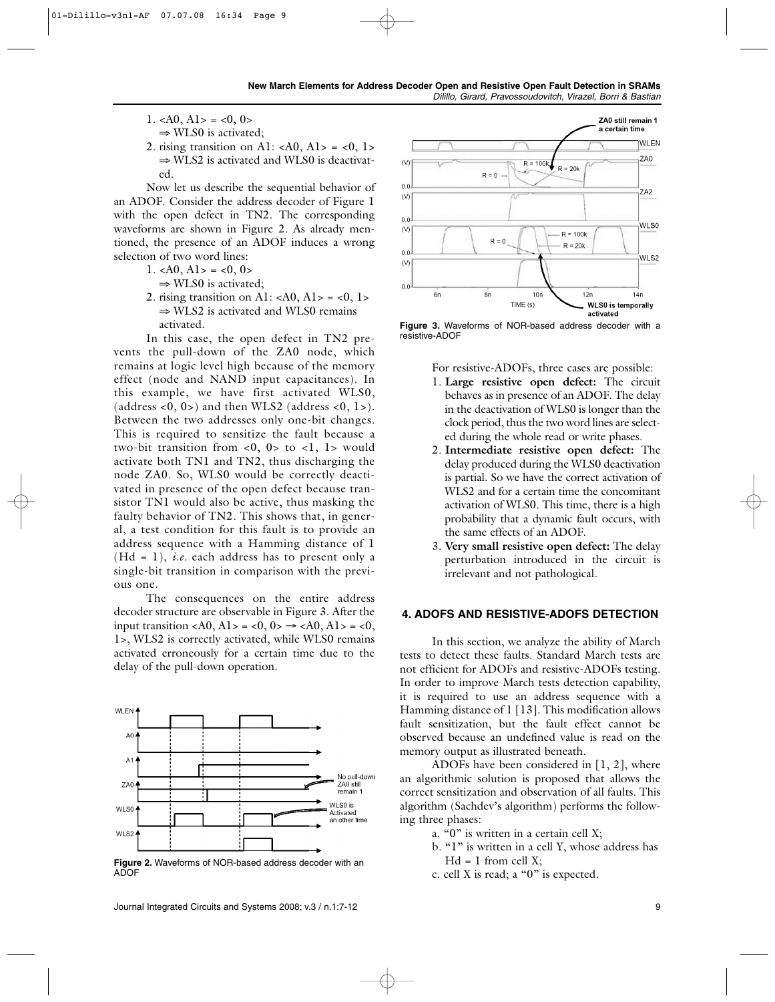- 1.  $\langle A0, A1 \rangle = \langle 0, 0 \rangle$ 
	- ⇒ WLS0 is activated;
- 2. rising transition on A1:  $\langle A0, A1 \rangle = \langle 0, 1 \rangle$  $\Rightarrow$  WLS2 is activated and WLS0 is deactivated.

Now let us describe the sequential behavior of an ADOF. Consider the address decoder of Figure 1 with the open defect in TN2. The corresponding waveforms are shown in Figure 2. As already mentioned, the presence of an ADOF induces a wrong selection of two word lines:

- 1.  $\langle A0, A1 \rangle = \langle 0, 0 \rangle$ 
	- ⇒ WLS0 is activated;
- 2. rising transition on A1: < $A0, A1$ > = < $0, 1$ >  $\Rightarrow$  WLS2 is activated and WLS0 remains activated.

In this case, the open defect in TN2 prevents the pull-down of the ZA0 node, which remains at logic level high because of the memory effect (node and NAND input capacitances). In this example, we have first activated WLS0, (address  $< 0$ , 0 $> 0$ ) and then WLS2 (address  $< 0$ , 1 $> 0$ ). Between the two addresses only one-bit changes. This is required to sensitize the fault because a two-bit transition from  $\langle 0, 0 \rangle$  to  $\langle 1, 1 \rangle$  would activate both TN1 and TN2, thus discharging the node ZA0. So, WLS0 would be correctly deactivated in presence of the open defect because transistor TN1 would also be active, thus masking the faulty behavior of TN2. This shows that, in general, a test condition for this fault is to provide an address sequence with a Hamming distance of 1  $(Hd = 1)$ , *i.e.* each address has to present only a single-bit transition in comparison with the previous one.

The consequences on the entire address decoder structure are observable in Figure 3. After the input transition <A0, A1> = <0, 0>  $\rightarrow$  <A0, A1> = <0, 1>, WLS2 is correctly activated, while WLS0 remains activated erroneously for a certain time due to the delay of the pull-down operation.



**Figure 2.** Waveforms of NOR-based address decoder with an  $A\overline{D}$ OF



**Figure 3.** Waveforms of NOR-based address decoder with a resistive-ADOF

For resistive-ADOFs, three cases are possible:

- 1. **Large resistive open defect:** The circuit behaves as in presence of an ADOF. The delay in the deactivation of WLS0 is longer than the clock period, thus the two word lines are selected during the whole read or write phases.
- 2. **Intermediate resistive open defect:** The delay produced during the WLS0 deactivation is partial. So we have the correct activation of WLS2 and for a certain time the concomitant activation of WLS0. This time, there is a high probability that a dynamic fault occurs, with the same effects of an ADOF.
- 3. **Very small resistive open defect:** The delay perturbation introduced in the circuit is irrelevant and not pathological.

### **4. ADOFS AND RESISTIVE-ADOFS DETECTION**

In this section, we analyze the ability of March tests to detect these faults. Standard March tests are not efficient for ADOFs and resistive-ADOFs testing. In order to improve March tests detection capability, it is required to use an address sequence with a Hamming distance of 1 [13]. This modification allows fault sensitization, but the fault effect cannot be observed because an undefined value is read on the memory output as illustrated beneath.

ADOFs have been considered in [1, 2], where an algorithmic solution is proposed that allows the correct sensitization and observation of all faults. This algorithm (Sachdev's algorithm) performs the following three phases:

- a. "0" is written in a certain cell X;
- b. "1" is written in a cell Y, whose address has  $Hd = 1$  from cell X;
- c. cell X is read; a "0" is expected.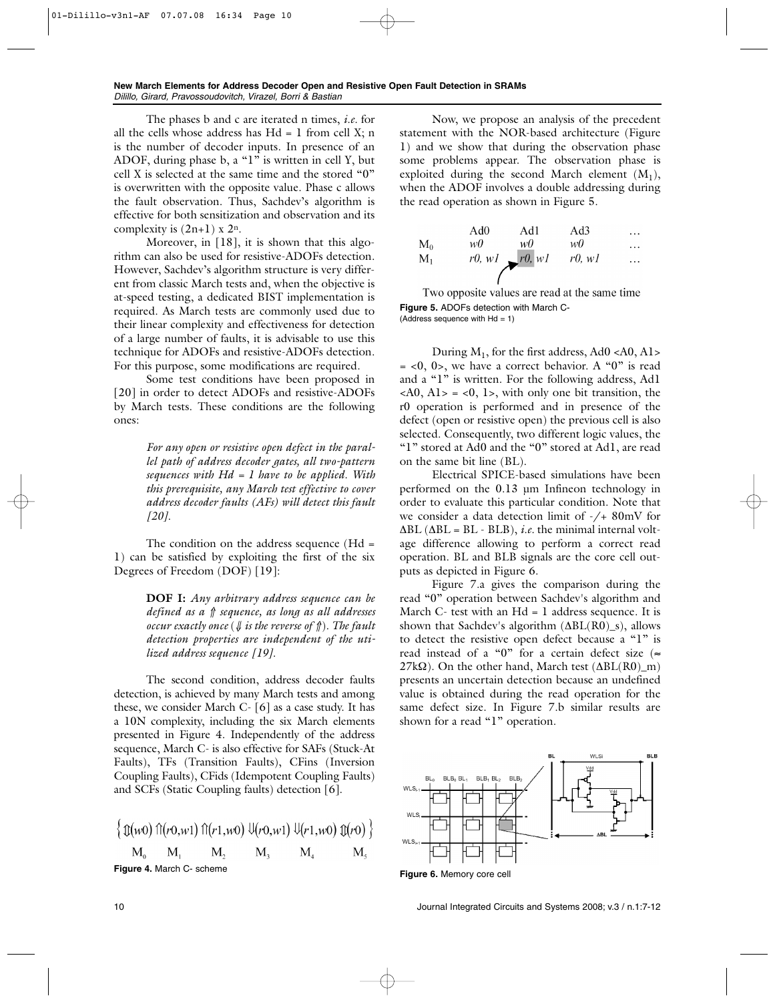The phases b and c are iterated n times, *i.e.* for all the cells whose address has  $Hd = 1$  from cell X; n is the number of decoder inputs. In presence of an ADOF, during phase b, a " $1$ " is written in cell Y, but cell X is selected at the same time and the stored "0" is overwritten with the opposite value. Phase c allows the fault observation. Thus, Sachdev's algorithm is effective for both sensitization and observation and its complexity is  $(2n+1)$  x  $2<sup>n</sup>$ .

Moreover, in [18], it is shown that this algorithm can also be used for resistive-ADOFs detection. However, Sachdev's algorithm structure is very different from classic March tests and, when the objective is at-speed testing, a dedicated BIST implementation is required. As March tests are commonly used due to their linear complexity and effectiveness for detection of a large number of faults, it is advisable to use this technique for ADOFs and resistive-ADOFs detection. For this purpose, some modifications are required.

Some test conditions have been proposed in [20] in order to detect ADOFs and resistive-ADOFs by March tests. These conditions are the following ones:

> *For any open or resistive open defect in the parallel path of address decoder gates, all two-pattern sequences with Hd = 1 have to be applied. With this prerequisite, any March test effective to cover address decoder faults (AFs) will detect this fault [20].*

The condition on the address sequence (Hd = 1) can be satisfied by exploiting the first of the six Degrees of Freedom (DOF) [19]:

> **DOF I:** *Any arbitrary address sequence can be defined as a* ⇑ *sequence, as long as all addresses occur exactly once* (⇓ *is the reverse of* ⇑)*. The fault detection properties are independent of the utilized address sequence [19].*

The second condition, address decoder faults detection, is achieved by many March tests and among these, we consider March C- [6] as a case study. It has a 10N complexity, including the six March elements presented in Figure 4. Independently of the address sequence, March C- is also effective for SAFs (Stuck-At Faults), TFs (Transition Faults), CFins (Inversion Coupling Faults), CFids (Idempotent Coupling Faults) and SCFs (Static Coupling faults) detection [6].

$$
\begin{cases} \text{ } \left( \begin{matrix} 0 \\ W \end{matrix} \right) \text{ } \left( \begin{matrix} r(0, w) \end{matrix} \right) \text{ } \left( \begin{matrix} r(1, w) \end{matrix} \right) \text{ } \left( \begin{matrix} 0 \\ W \end{matrix} \right) \text{ } \left( \begin{matrix} 0 \\ W \end{matrix} \right) \text{ } \left( \begin{matrix} 0 \\ W \end{matrix} \right) \text{ } \begin{matrix} \text{ } M_1 & M_2 & M_3 & M_4 & M_5 \end{matrix}
$$
\nFigure 4. March C- scheme

Now, we propose an analysis of the precedent statement with the NOR-based architecture (Figure 1) and we show that during the observation phase some problems appear. The observation phase is exploited during the second March element  $(M_1)$ , when the ADOF involves a double addressing during the read operation as shown in Figure 5.

|       | Ad0 | Ad1               | Ad3       | $\cdots$ |
|-------|-----|-------------------|-----------|----------|
| $M_0$ | w0  | w0                | w0        | $\cdots$ |
| $M_1$ |     | $r0, w1$ $r0, w1$ | $r0$ , wl | .        |
|       |     |                   |           |          |

Two opposite values are read at the same time **Figure 5.** ADOFs detection with March C- (Address sequence with  $Hd = 1$ )

During  $M_1$ , for the first address, Ad0 <A0, A1>  $=$  <0, 0>, we have a correct behavior. A "0" is read and a "1" is written. For the following address, Ad1  $\langle A0, A1 \rangle = \langle 0, 1 \rangle$ , with only one bit transition, the r0 operation is performed and in presence of the defect (open or resistive open) the previous cell is also selected. Consequently, two different logic values, the "1" stored at Ad0 and the "0" stored at Ad1, are read on the same bit line (BL).

Electrical SPICE-based simulations have been performed on the 0.13 µm Infineon technology in order to evaluate this particular condition. Note that we consider a data detection limit of -/+ 80mV for ∆BL (∆BL = BL - BLB), *i.e.* the minimal internal voltage difference allowing to perform a correct read operation. BL and BLB signals are the core cell outputs as depicted in Figure 6.

Figure 7.a gives the comparison during the read "0" operation between Sachdev's algorithm and March C- test with an  $Hd = 1$  address sequence. It is shown that Sachdev's algorithm (∆BL(R0)\_s), allows to detect the resistive open defect because a "1" is read instead of a "0" for a certain defect size ( $\approx$  $27k\Omega$ ). On the other hand, March test ( $\Delta BL(R0)$  m) presents an uncertain detection because an undefined value is obtained during the read operation for the same defect size. In Figure 7.b similar results are shown for a read "1" operation.



**Figure 6.** Memory core cell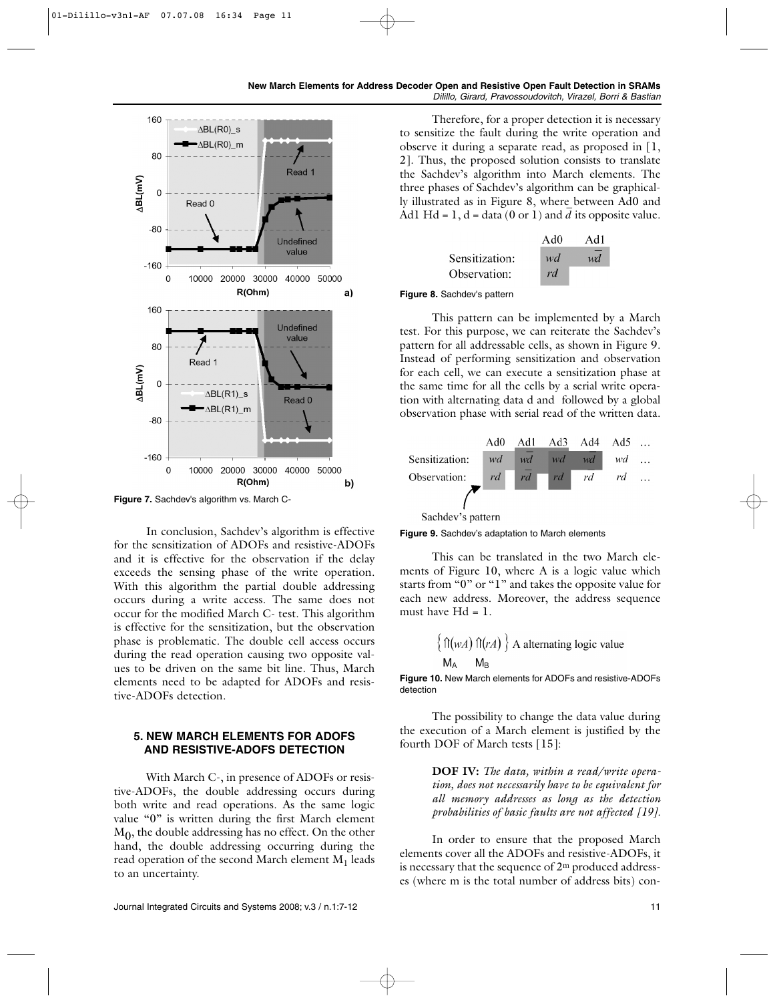

**Figure 7.** Sachdev's algorithm vs. March C-

In conclusion, Sachdev's algorithm is effective for the sensitization of ADOFs and resistive-ADOFs and it is effective for the observation if the delay exceeds the sensing phase of the write operation. With this algorithm the partial double addressing occurs during a write access. The same does not occur for the modified March C- test. This algorithm is effective for the sensitization, but the observation phase is problematic. The double cell access occurs during the read operation causing two opposite values to be driven on the same bit line. Thus, March elements need to be adapted for ADOFs and resistive-ADOFs detection.

# **5. NEW MARCH ELEMENTS FOR ADOFS AND RESISTIVE-ADOFS DETECTION**

With March C-, in presence of ADOFs or resistive-ADOFs, the double addressing occurs during both write and read operations. As the same logic value "0" is written during the first March element  $M<sub>0</sub>$ , the double addressing has no effect. On the other hand, the double addressing occurring during the read operation of the second March element  $M_1$  leads to an uncertainty.

Therefore, for a proper detection it is necessary to sensitize the fault during the write operation and observe it during a separate read, as proposed in [1, 2]. Thus, the proposed solution consists to translate the Sachdev's algorithm into March elements. The three phases of Sachdev's algorithm can be graphically illustrated as in Figure 8, where between Ad0 and by must attack as in Figure 8, where between Add and  $\overline{A}$  and  $\overline{A}$  its opposite value.

| Ad0      | Ad1 |
|----------|-----|
| wd<br>rd | wd  |
|          |     |

#### **Figure 8.** Sachdev's pattern

This pattern can be implemented by a March test. For this purpose, we can reiterate the Sachdev's pattern for all addressable cells, as shown in Figure 9. Instead of performing sensitization and observation for each cell, we can execute a sensitization phase at the same time for all the cells by a serial write operation with alternating data d and followed by a global observation phase with serial read of the written data.



**Figure 9.** Sachdev's adaptation to March elements

This can be translated in the two March elements of Figure 10, where A is a logic value which starts from "0" or "1" and takes the opposite value for each new address. Moreover, the address sequence must have  $Hd = 1$ .

$$
\left\{ \begin{array}{l} \text{f}(w) \text{ f}(r) \text{ } \\ \text{M}_A \text{ } \text{M}_B \end{array} \right\}
$$
 A alternating logic value

**Figure 10.** New March elements for ADOFs and resistive-ADOFs detection

The possibility to change the data value during the execution of a March element is justified by the fourth DOF of March tests [15]:

> **DOF IV:** *The data, within a read/write operation, does not necessarily have to be equivalent for all memory addresses as long as the detection probabilities of basic faults are not affected [19].*

In order to ensure that the proposed March elements cover all the ADOFs and resistive-ADOFs, it is necessary that the sequence of 2m produced addresses (where m is the total number of address bits) con